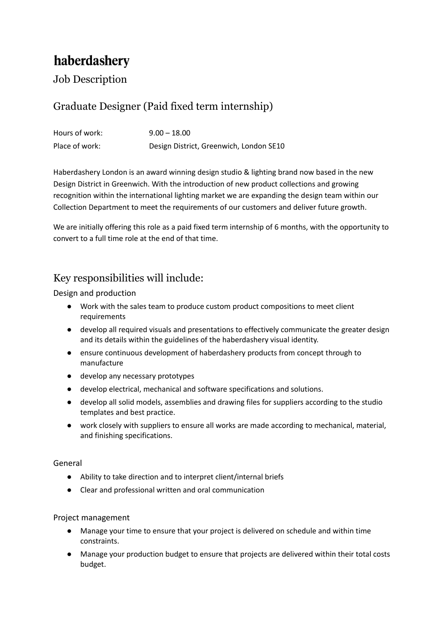# haberdashery

Job Description

### Graduate Designer (Paid fixed term internship)

| Hours of work: | $9.00 - 18.00$                          |
|----------------|-----------------------------------------|
| Place of work: | Design District, Greenwich, London SE10 |

Haberdashery London is an award winning design studio & lighting brand now based in the new Design District in Greenwich. With the introduction of new product collections and growing recognition within the international lighting market we are expanding the design team within our Collection Department to meet the requirements of our customers and deliver future growth.

We are initially offering this role as a paid fixed term internship of 6 months, with the opportunity to convert to a full time role at the end of that time.

## Key responsibilities will include:

#### Design and production

- Work with the sales team to produce custom product compositions to meet client requirements
- develop all required visuals and presentations to effectively communicate the greater design and its details within the guidelines of the haberdashery visual identity.
- ensure continuous development of haberdashery products from concept through to manufacture
- develop any necessary prototypes
- develop electrical, mechanical and software specifications and solutions.
- develop all solid models, assemblies and drawing files for suppliers according to the studio templates and best practice.
- work closely with suppliers to ensure all works are made according to mechanical, material, and finishing specifications.

#### General

- Ability to take direction and to interpret client/internal briefs
- Clear and professional written and oral communication

#### Project management

- Manage your time to ensure that your project is delivered on schedule and within time constraints.
- Manage your production budget to ensure that projects are delivered within their total costs budget.